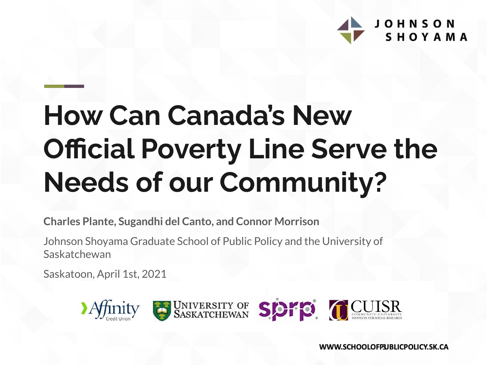

# **How Can Canada's New Official Poverty Line Serve the Needs of our Community?**

**Charles Plante, Sugandhi del Canto, and Connor Morrison**

Johnson Shoyama Graduate School of Public Policy and the University of Saskatchewan

Saskatoon, April 1st, 2021

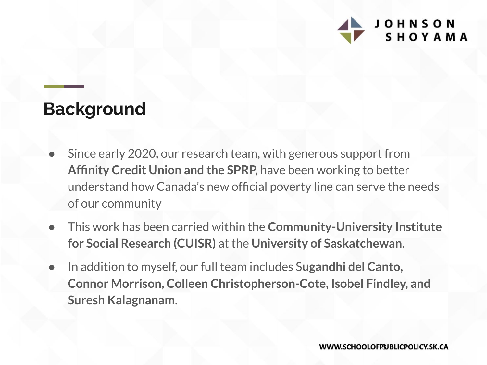

### **Background**

- Since early 2020, our research team, with generous support from **Affinity Credit Union and the SPRP,** have been working to better understand how Canada's new official poverty line can serve the needs of our community
- This work has been carried within the **Community-University Institute for Social Research (CUISR)** at the **University of Saskatchewan**.
- In addition to myself, our full team includes S**ugandhi del Canto, Connor Morrison, Colleen Christopherson-Cote, Isobel Findley, and Suresh Kalagnanam**.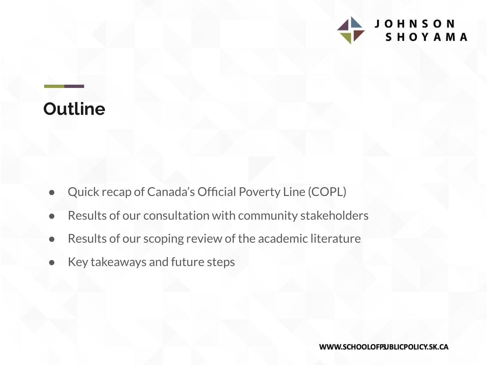

### **Outline**

- Quick recap of Canada's Official Poverty Line (COPL)
- Results of our consultation with community stakeholders
- Results of our scoping review of the academic literature
- Key takeaways and future steps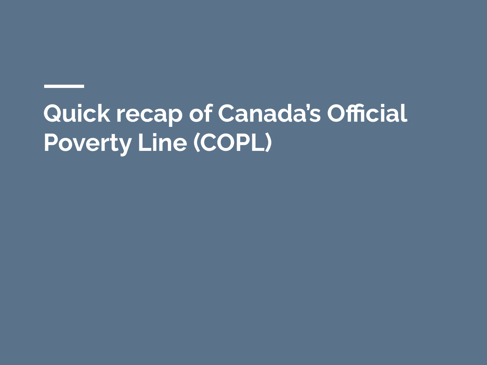**Quick recap of Canada's Official Poverty Line (COPL)**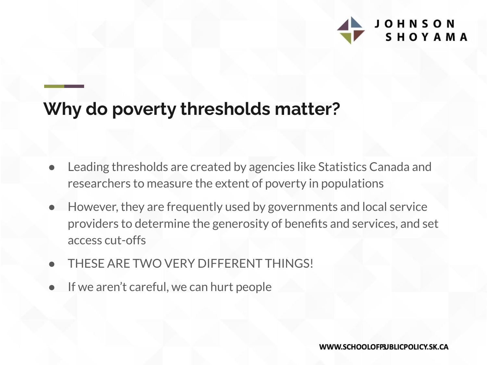

### **Why do poverty thresholds matter?**

- Leading thresholds are created by agencies like Statistics Canada and researchers to measure the extent of poverty in populations
- However, they are frequently used by governments and local service providers to determine the generosity of benefits and services, and set access cut-offs
- THESE ARE TWO VERY DIFFERENT THINGS!
- If we aren't careful, we can hurt people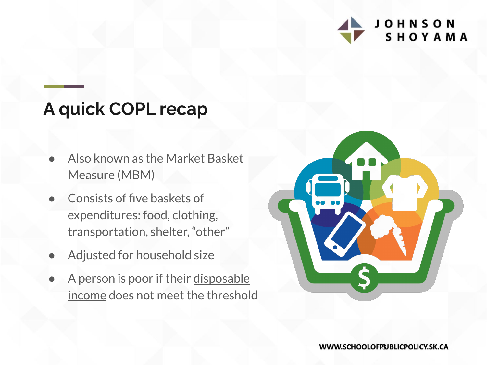

### **A quick COPL recap**

- Also known as the Market Basket Measure (MBM)
- Consists of five baskets of expenditures: food, clothing, transportation, shelter, "other"
- Adjusted for household size
- A person is poor if their disposable income does not meet the threshold

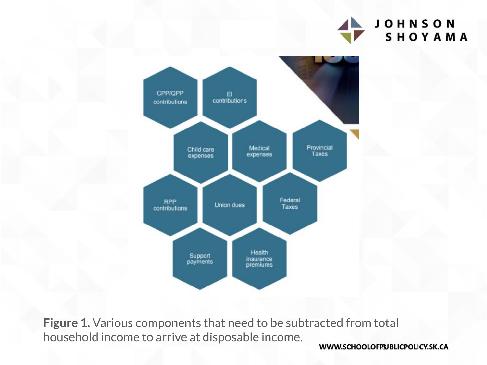



**Figure 1.** Various components that need to be subtracted from total household income to arrive at disposable income.

WWW.SCHOOLOFPUBLICPOLICY.SK.CA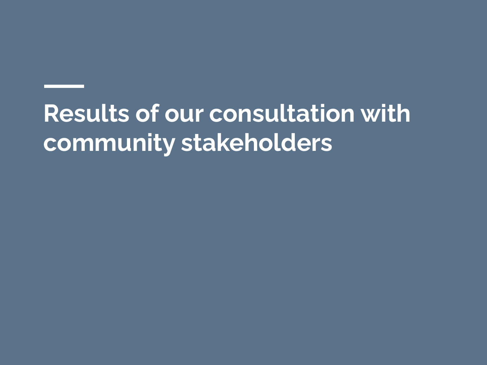## **Results of our consultation with community stakeholders**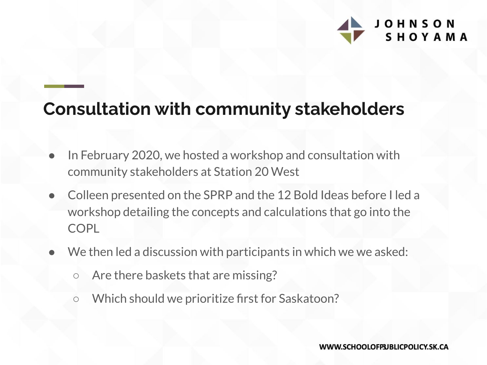

### **Consultation with community stakeholders**

- In February 2020, we hosted a workshop and consultation with community stakeholders at Station 20 West
- Colleen presented on the SPRP and the 12 Bold Ideas before I led a workshop detailing the concepts and calculations that go into the COPL
- We then led a discussion with participants in which we we asked:
	- Are there baskets that are missing?
	- Which should we prioritize first for Saskatoon?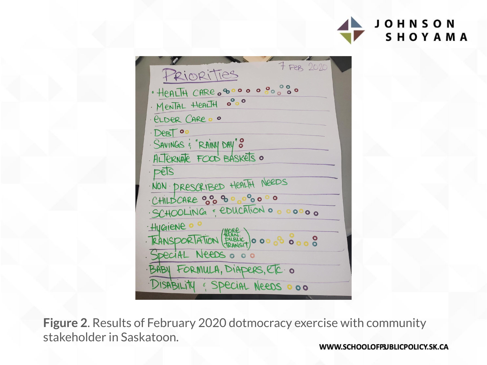



**Figure 2**. Results of February 2020 dotmocracy exercise with community stakeholder in Saskatoon.

WWW.SCHOOLOFPUBLICPOLICY.SK.CA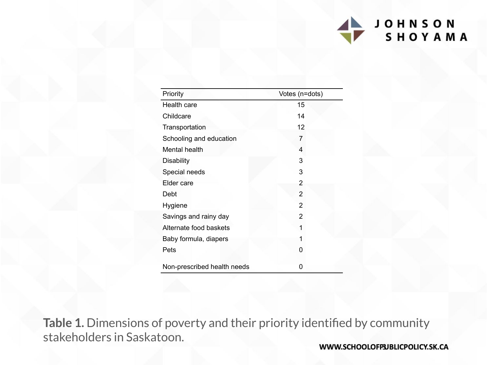#### **JOHNSON** SHOYAMA

| Priority                    | Votes (n=dots) |  |
|-----------------------------|----------------|--|
| Health care                 | 15             |  |
| Childcare                   | 14             |  |
| Transportation              | 12             |  |
| Schooling and education     | 7              |  |
| Mental health               | 4              |  |
| <b>Disability</b>           | 3              |  |
| Special needs               | 3              |  |
| Elder care                  | 2              |  |
| Debt                        | 2              |  |
| Hygiene                     | 2              |  |
| Savings and rainy day       | 2              |  |
| Alternate food baskets      | 1              |  |
| Baby formula, diapers       | 1              |  |
| Pets                        | 0              |  |
| Non-prescribed health needs | 0              |  |

**Table 1.** Dimensions of poverty and their priority identified by community stakeholders in Saskatoon.

WWW.SCHOOLOFP3JBLICPOLICY.SK.CA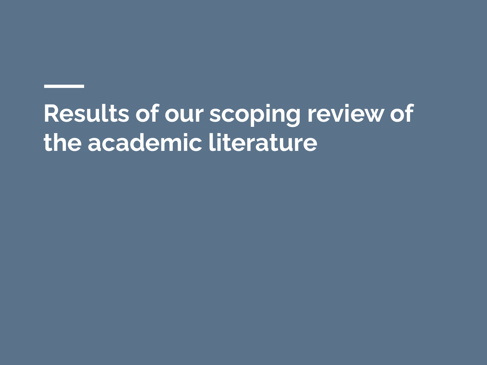## **Results of our scoping review of the academic literature**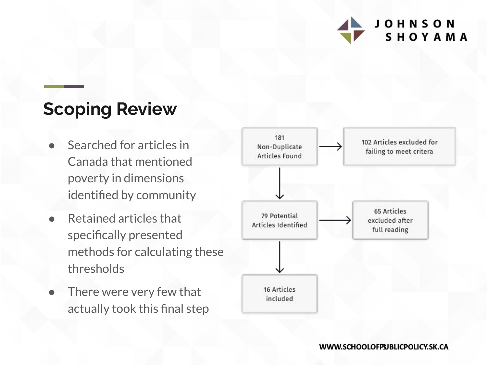

### **Scoping Review**

- Searched for articles in Canada that mentioned poverty in dimensions identified by community
- **Retained articles that** specifically presented methods for calculating these thresholds
- There were very few that actually took this final step

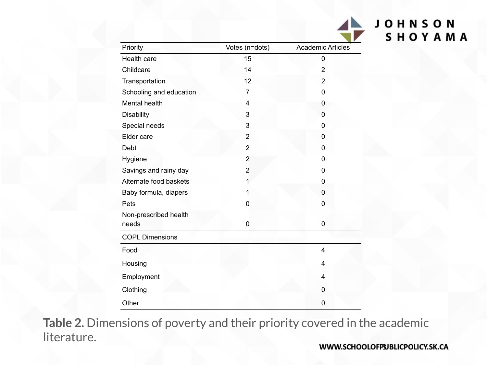| Priority                |  | Votes (n=dots) | <b>Academic Articles</b> |
|-------------------------|--|----------------|--------------------------|
| Health care             |  | 15             | 0                        |
| Childcare               |  | 14             | 2                        |
| Transportation          |  | 12             | $\overline{2}$           |
| Schooling and education |  | 7              | 0                        |
| Mental health           |  | 4              | 0                        |
| Disability              |  | 3              | 0                        |
| Special needs           |  | 3              | 0                        |
| Elder care              |  | $\overline{2}$ | 0                        |
| Debt                    |  | $\overline{2}$ | 0                        |
| Hygiene                 |  | $\overline{2}$ | 0                        |
| Savings and rainy day   |  | $\overline{2}$ | 0                        |
| Alternate food baskets  |  | 1              | 0                        |
| Baby formula, diapers   |  | 1              | 0                        |
| Pets                    |  | 0              | 0                        |
| Non-prescribed health   |  |                |                          |
| needs                   |  | 0              | 0                        |
| <b>COPL Dimensions</b>  |  |                |                          |
| Food                    |  |                | 4                        |
| Housing                 |  |                | 4                        |
| Employment              |  |                | 4                        |
| Clothing                |  |                | 0                        |
| Other                   |  |                | 0                        |

**Table 2.** Dimensions of poverty and their priority covered in the academic literature.

**JOHNSON** 

SHOYAMA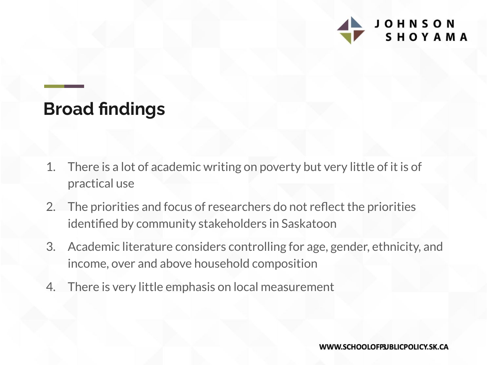

### **Broad findings**

- 1. There is a lot of academic writing on poverty but very little of it is of practical use
- 2. The priorities and focus of researchers do not reflect the priorities identified by community stakeholders in Saskatoon
- 3. Academic literature considers controlling for age, gender, ethnicity, and income, over and above household composition
- 4. There is very little emphasis on local measurement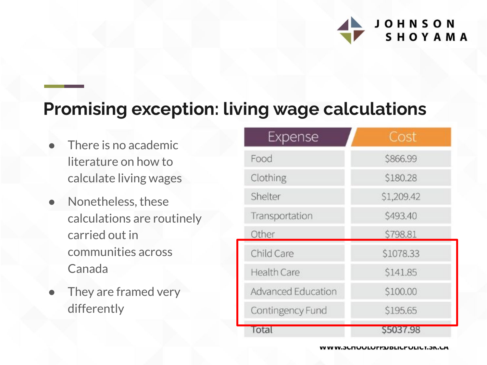

### **Promising exception: living wage calculations**

- There is no academic literature on how to calculate living wages
- Nonetheless, these calculations are routinely carried out in communities across Canada
- They are framed very differently

| Expense            | Cost       |
|--------------------|------------|
| Food               | \$866.99   |
| Clothing           | \$180.28   |
| Shelter            | \$1,209.42 |
| Transportation     | \$493.40   |
| Other              | \$798.81   |
| Child Care         | \$1078.33  |
| <b>Health Care</b> | \$141.85   |
| Advanced Education | \$100.00   |
| Contingency Fund   | \$195.65   |
| Total              | \$5037.98  |

**v vv.junuulurrjudliur uliu 1.jn.um**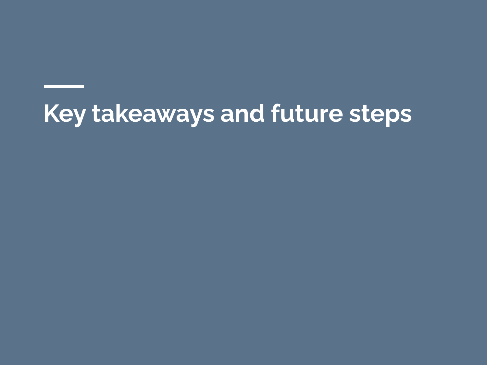## **Key takeaways and future steps**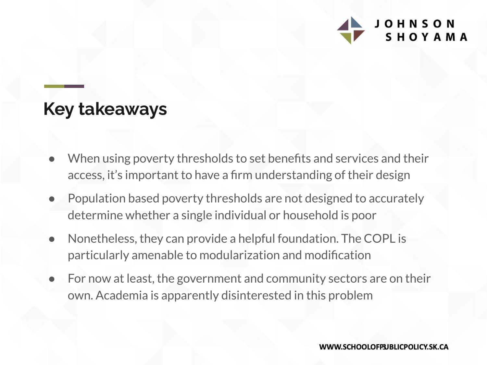

#### **Key takeaways**

- When using poverty thresholds to set benefits and services and their access, it's important to have a firm understanding of their design
- Population based poverty thresholds are not designed to accurately determine whether a single individual or household is poor
- Nonetheless, they can provide a helpful foundation. The COPL is particularly amenable to modularization and modification
- For now at least, the government and community sectors are on their own. Academia is apparently disinterested in this problem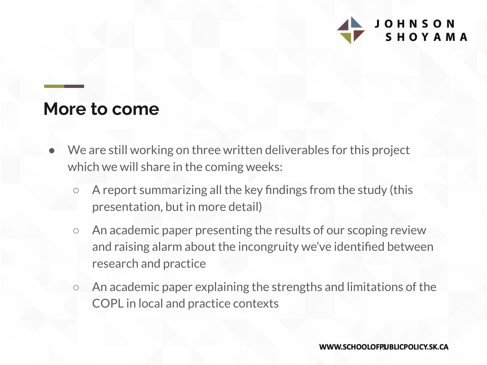

#### **More to come**

- We are still working on three written deliverables for this project which we will share in the coming weeks:
	- A report summarizing all the key findings from the study (this presentation, but in more detail)
	- An academic paper presenting the results of our scoping review and raising alarm about the incongruity we've identified between research and practice
	- An academic paper explaining the strengths and limitations of the COPL in local and practice contexts